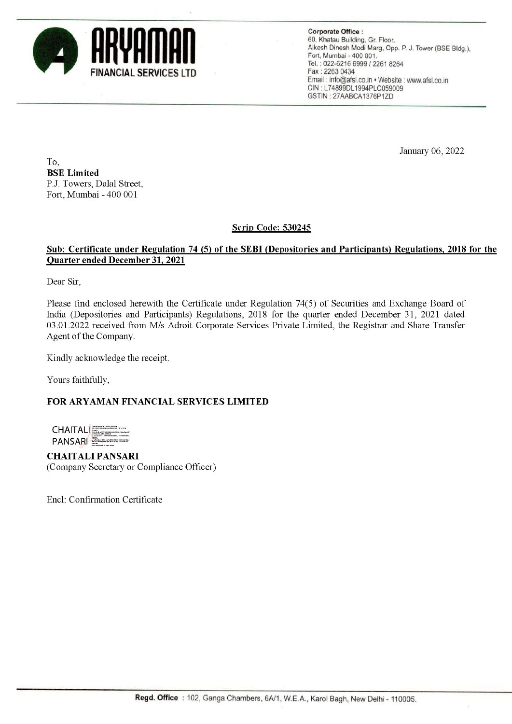

Corporate Office : 60, Khatau Building, Gr. Floor, Alkesh Dinesh Modi Marg, Opp. P. J. Tower (BSE Bldg.), Fort, Mumbai - 400 001. Tel. ; 022-6216 6999 / 2261 8264 Email : info@afsl.co.in \* Website : www.afsl.co.in CIN : L74899DL1994PLC059009 GSTIN : 27AABCA1376P1ZD

January 06, 2022

To, BSE Limited P.J. Towers, Dalal Street, Fort, Mumbai - 400 001

## Scrip Code: 530245

### Sub: Certificate under Regulation 74 (5) of the SEBI (Depositories and Participants) Regulations, 2018 for the Quarter ended December 31, 2021

Dear Sir,

Please find enclosed herewith the Certificate under Regulation 74(5) of Securities and Exchange Board of India (Depositories and Participants) Regulations, 2018 for the quarter ended December 31, 2021 dated 03.01.2022 received from M/s Adroit Corporate Services Private Limited, the Registrar and Share Transfer Agent of the Company. Scrip C.<br>
Sub: Certificate under Regulation 74 (S) of the SEBI<br>
Quarter ended December 31, 2021<br>
Dear Sir,<br>
Please find enclosed herewith the Certificate under Reg<br>
India (Depositions and Participants) Regulations, 2013<br>
0

Kindly acknowledge the receipt.

Yours faithfully,

#### FOR ARYAMAN FINANCIAL SERVICES LIMITED

**CHAITAL** PANSARI

CHAITALI PANSARI (Company Secretary or Compliance Officer)

Encl: Confirmation Certificate